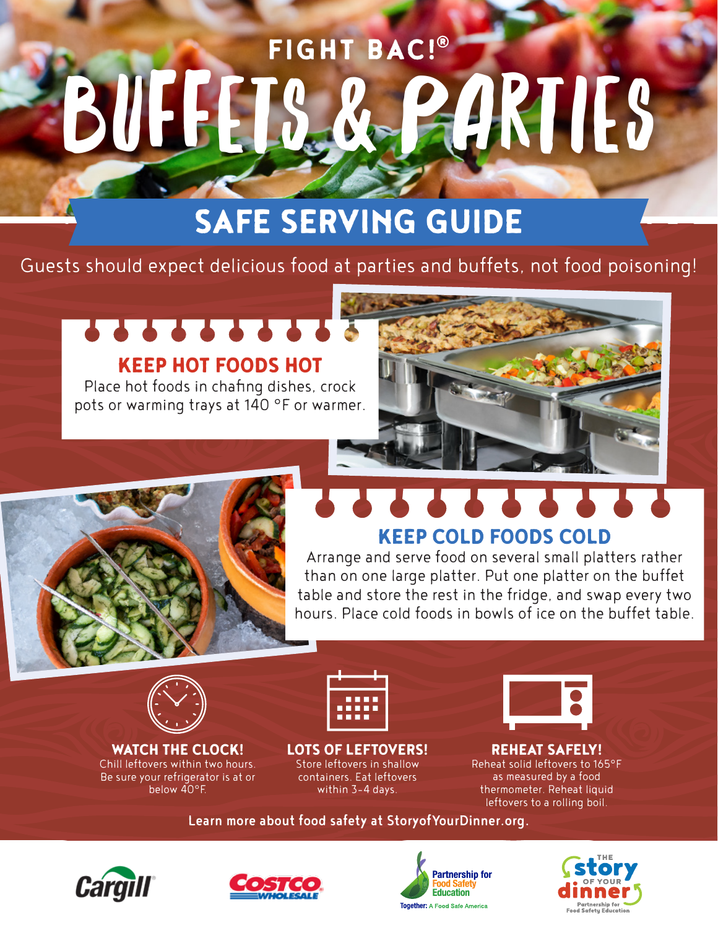## FIGHT BAC!® BUFFETS & PARTIES

## SAFE SERVING GUIDE

Guests should expect delicious food at parties and buffets, not food poisoning!

### *<u>........</u>* KEEP HOT FOODS HOT

Place hot foods in chafing dishes, crock pots or warming trays at 140 °F or warmer.

# **A A A A A A**



## KEEP COLD FOODS COLD

Arrange and serve food on several small platters rather than on one large platter. Put one platter on the buffet table and store the rest in the fridge, and swap every two hours. Place cold foods in bowls of ice on the buffet table.



WATCH THE CLOCK! Chill leftovers within two hours. Be sure your refrigerator is at or below 40°F.



LOTS OF LEFTOVERS! Store leftovers in shallow containers. Eat leftovers within 3-4 days.



#### REHEAT SAFELY!

Reheat solid leftovers to 165°F as measured by a food thermometer. Reheat liquid leftovers to a rolling boil.

Learn more about food safety at StoryofYourDinner.org.